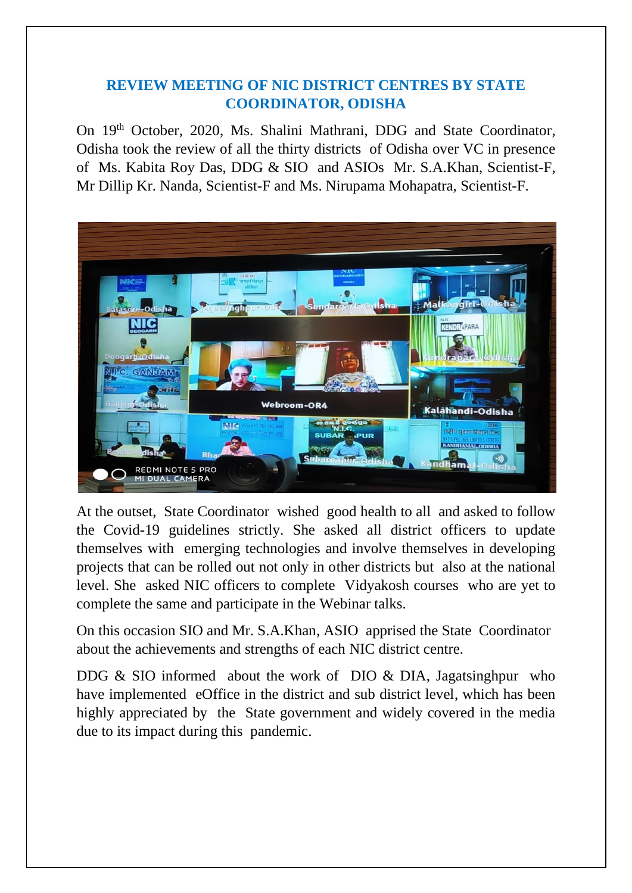## **REVIEW MEETING OF NIC DISTRICT CENTRES BY STATE COORDINATOR, ODISHA**

On 19<sup>th</sup> October, 2020, Ms. Shalini Mathrani, DDG and State Coordinator, Odisha took the review of all the thirty districts of Odisha over VC in presence of Ms. Kabita Roy Das, DDG & SIO and ASIOs Mr. S.A.Khan, Scientist-F, Mr Dillip Kr. Nanda, Scientist-F and Ms. Nirupama Mohapatra, Scientist-F.



At the outset, State Coordinator wished good health to all and asked to follow the Covid-19 guidelines strictly. She asked all district officers to update themselves with emerging technologies and involve themselves in developing projects that can be rolled out not only in other districts but also at the national level. She asked NIC officers to complete Vidyakosh courses who are yet to complete the same and participate in the Webinar talks.

On this occasion SIO and Mr. S.A.Khan, ASIO apprised the State Coordinator about the achievements and strengths of each NIC district centre.

DDG & SIO informed about the work of DIO & DIA, Jagatsinghpur who have implemented eOffice in the district and sub district level, which has been highly appreciated by the State government and widely covered in the media due to its impact during this pandemic.